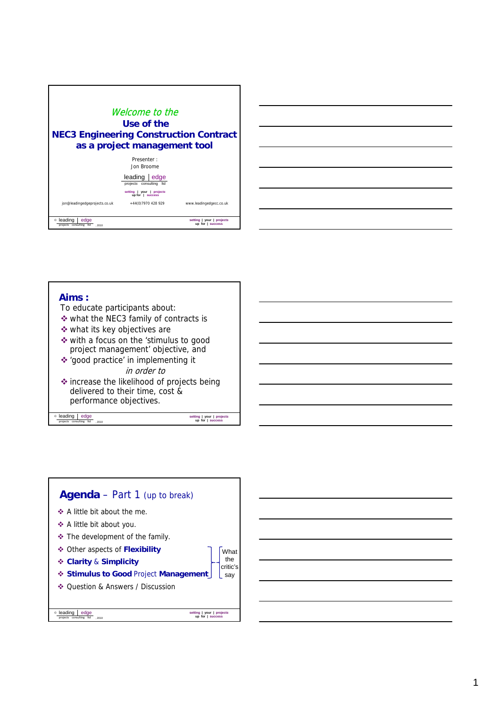



## **Aims :** To educate participants about: what the NEC3 family of contracts is what its key objectives are with a focus on the 'stimulus to good project management' objective, and **leading edge** projects consulting to , 2010 **up for | success**  'good practice' in implementing it in order to increase the likelihood of projects being delivered to their time, cost & performance objectives.



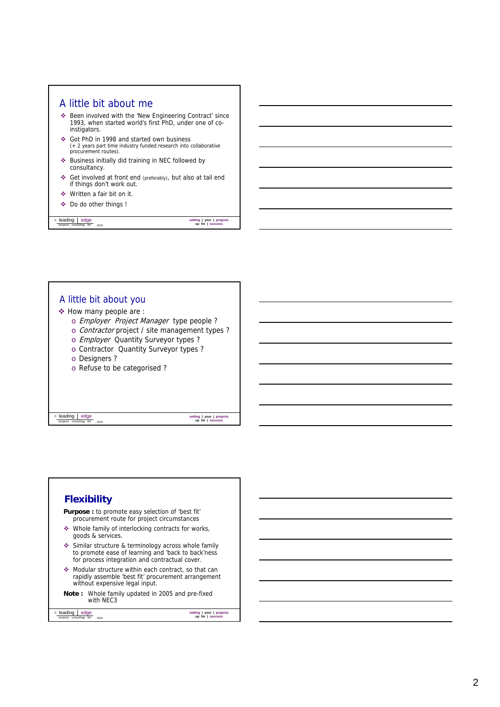

# A little bit about you How many people are : o Employer Project Manager type people ? o Contractor project / site management types ?

- o Employer Quantity Surveyor types ?
- o Contractor Quantity Surveyor types?
- o Designers ?
- o Refuse to be categorised ?

**leading edge** projects consulting to , 2010

*s* **up for | success** 

### **Flexibility Purpose :** to promote easy selection of 'best fit' procurement route for project circumstances Whole family of interlocking contracts for works, goods & services. Similar structure & terminology across whole family **leading edge** project consulting to  $\frac{1}{\text{projects}}$  consulting to  $\frac{1}{\text{ports}}$  , 2010 to promote ease of learnin g and 'back to back'ness for process integration and contractual cover. Modular structure within each contract, so that can rapidly assemble 'best fit' procurement arrangement without expensive legal input. **Note :** Whole family updated in 2005 and pre-fixed with NEC3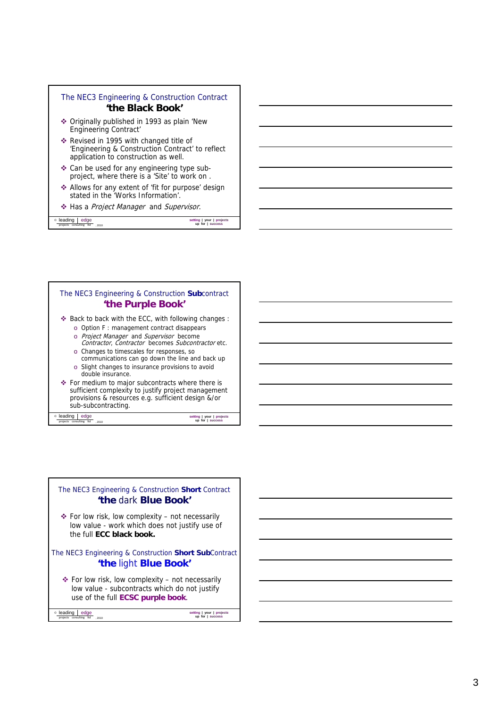



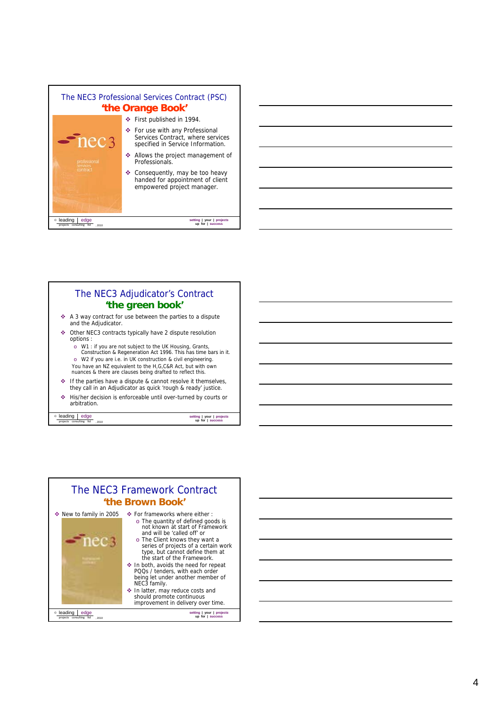



*s* **up for | success** 

**leading edge** projects consulting to , 2010

The NEC3 Framework Contract **'the Brown Book'** ◆ New to family in 2005 For frameworks where either : o The quantity of defined goods is not known at start of Framework and will be 'called off' or nec<sub>3</sub> o The Client knows they want a<br>series of projects of a certain work<br>type, but cannot define them at<br>the start of the Framework. In both, avoids the need for repeat PQQs / tenders, with each order being let under another member of NEC3 family. In latter, may reduce costs and should promote continuous improvement in delivery over time. **leading edge** project consulting to  $\frac{1}{\text{projects}}$  consulting to  $\frac{1}{\text{ports}}$  , 2010 *s* **up for | success** 

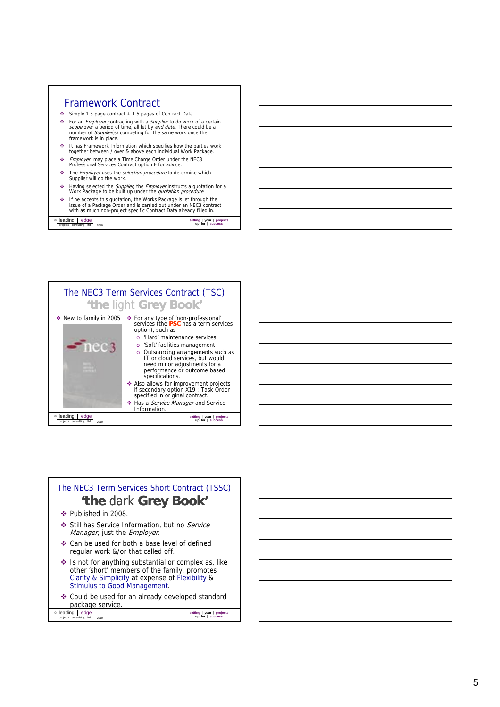

**leading edge** projects consulting td , 2010



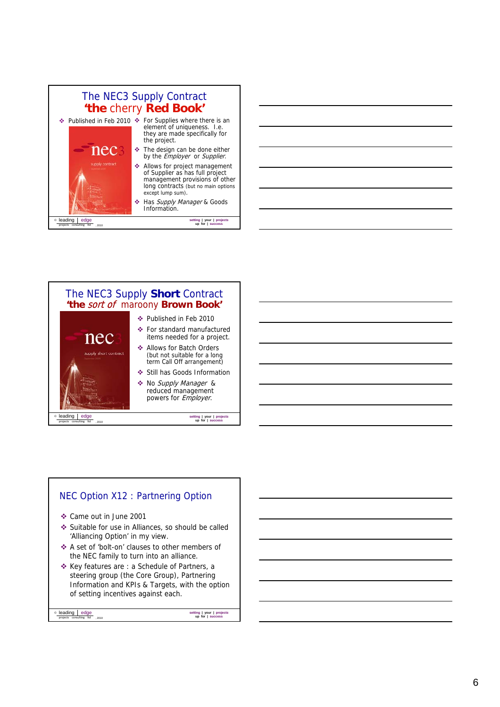

The NEC3 Supply **Short** Contract **'the** sort of maroony **Brown Book'** Published in Feb 2010 For standard manufactured nec items needed for a project. Allows for Batch Orders pply short contract (but not suitable for a long term Call Off arrangement) Still has Goods Information No Supply Manager & reduced management powers for *Employer*. **leading edge** projects consulting to , 2010 *s* **up for | success** 

# NEC Option X12 : Partnering Option

- Came out in June 2001
- Suitable for use in Alliances, so should be called 'Alliancing Option' in my view.
- ❖ A set of 'bolt-on' clauses to other members of the NEC family to turn into an alliance.
- Key features are : a Schedule of Partners, a steering group (the Core Group), Partnering Information and KPIs & Targets, with the option of setting incentives against each.

**leading edge** project consulting to  $\frac{1}{\text{projects}}$  consulting to  $\frac{1}{\text{ports}}$  , 2010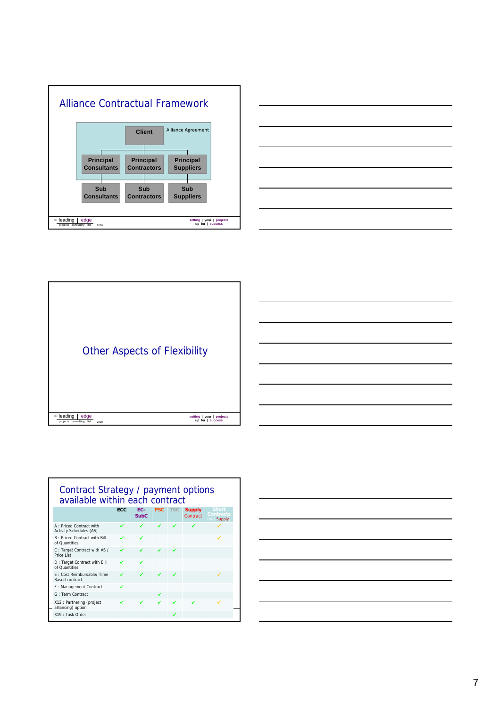







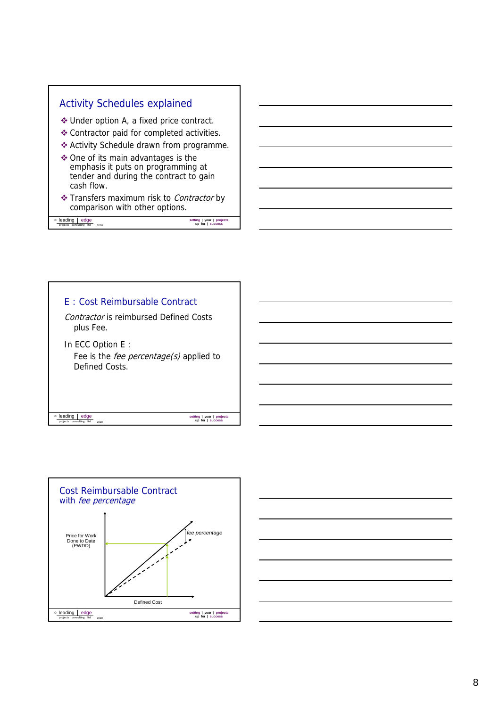





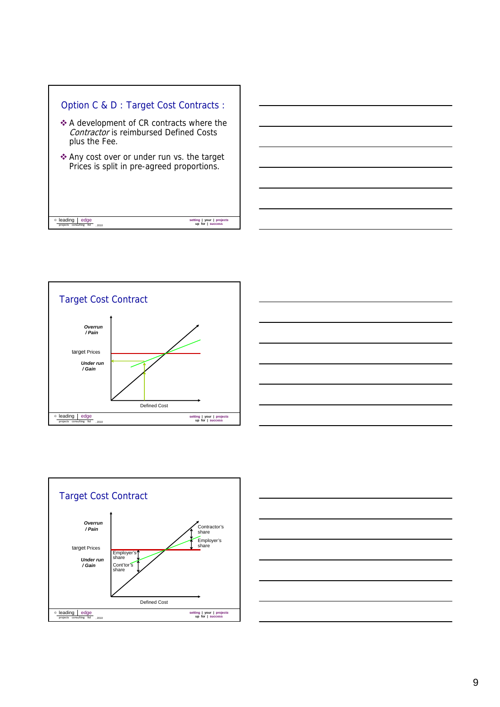







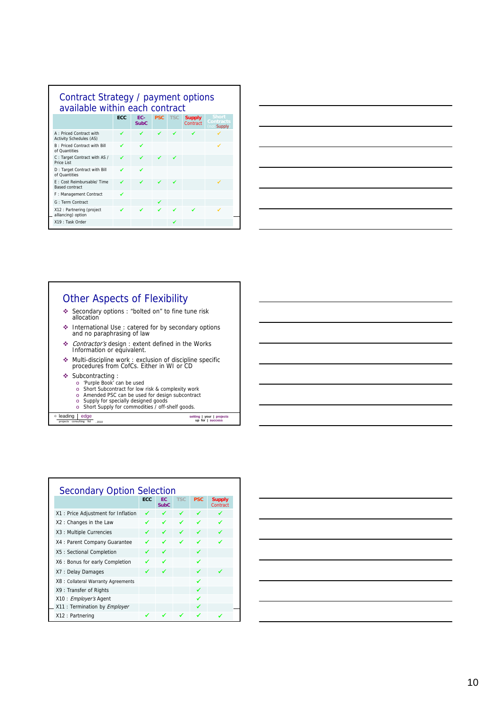| Contract Strategy / payment options<br>available within each contract |            |                    |            |            |                           |                                         |
|-----------------------------------------------------------------------|------------|--------------------|------------|------------|---------------------------|-----------------------------------------|
|                                                                       | <b>ECC</b> | EC-<br><b>SubC</b> | <b>PSC</b> | <b>TSC</b> | <b>Supply</b><br>Contract | <b>Short</b><br>Contracts<br>not Supply |
| A: Priced Contract with<br><b>Activity Schedules (AS)</b>             |            | ✔                  | ✔          | ✔          | ◢                         |                                         |
| <b>B</b> : Priced Contract with Bill<br>of Quantities                 | ◢          | ✔                  |            |            |                           | ✓                                       |
| C: Target Contract with AS /<br>Price List                            |            | ◢                  | ✔          |            |                           |                                         |
| D: Target Contract with Bill<br>of Quantities                         |            | ✔                  |            |            |                           |                                         |
| F: Cost Reimbursable/ Time<br><b>Based contract</b>                   |            | ✔                  | ◢          | ◢          |                           | ✓                                       |
| F: Management Contract                                                | ✔          |                    |            |            |                           |                                         |
| G: Term Contract                                                      |            |                    | ✔          |            |                           |                                         |
| X12: Partnering (project<br>alliancing) option                        |            | ✔                  |            |            |                           |                                         |
| X19 : Task Order                                                      |            |                    |            |            |                           |                                         |

| ,我们也不会有什么?""我们的人,我们也不会有什么?""我们的人,我们也不会有什么?""我们的人,我们也不会有什么?""我们的人,我们也不会有什么?""我们的人 |  |
|----------------------------------------------------------------------------------|--|
|                                                                                  |  |
|                                                                                  |  |
| ,我们也不会有什么。""我们的人,我们也不会有什么?""我们的人,我们也不会有什么?""我们的人,我们也不会有什么?""我们的人,我们也不会有什么?""我们的人 |  |
|                                                                                  |  |
|                                                                                  |  |
| ,我们也不会有一个人的事情。""我们的人们是不是我们的人,我们也不会有一个人的人,我们也不会有一个人的人,我们也不会有一个人的人,我们也不会有一个人的人,我们也 |  |
|                                                                                  |  |
|                                                                                  |  |
|                                                                                  |  |
|                                                                                  |  |
|                                                                                  |  |
|                                                                                  |  |

# Other Aspects of Flexibility

- Secondary options : "bolted on" to fine tune risk allocation
- **\*** International Use : catered for by secondary options and no paraphrasing of law
- ◆ Contractor's design : extent defined in the Works<br>Information or equivalent.
- Multi-discipline work : exclusion of discipline specific procedures from CofCs. Either in WI or CD
- Subcontracting :
	-
	- o 'Purple Book' can be used<br>o Short Subcontract for low risk & complexity work<br>o Amended PSC can be used for design subcontract<br>o Supply for specially designed goods
	-
	- o Short Supply for commodities / off-shelf goods.

**leading edge** projects consulting to , 2010



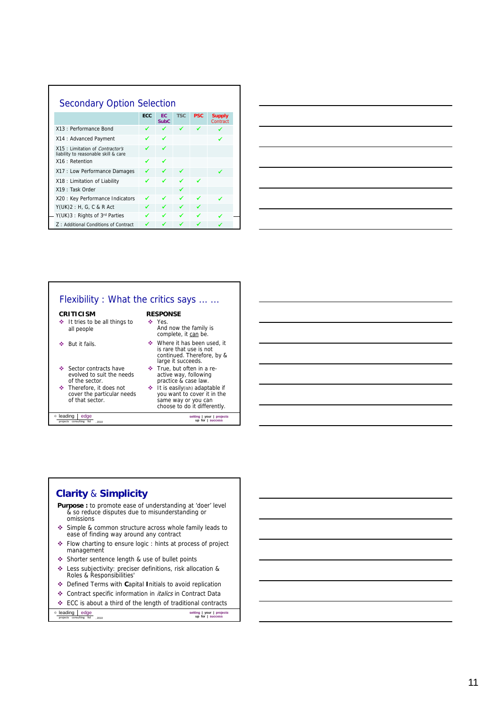| <b>Secondary Option Selection</b>                                        |            |                   |            |            |                           |
|--------------------------------------------------------------------------|------------|-------------------|------------|------------|---------------------------|
|                                                                          | <b>ECC</b> | EC<br><b>SubC</b> | <b>TSC</b> | <b>PSC</b> | <b>Supply</b><br>Contract |
| X13 : Performance Bond                                                   | ✔          | ◢                 | ◢          | ◢          | ◢                         |
| X14: Advanced Payment                                                    |            | ✔                 |            |            |                           |
| X15 : Limitation of Contractor's<br>liability to reasonable skill & care |            | ✔                 |            |            |                           |
| X16 : Retention                                                          | ✔          | ✔                 |            |            |                           |
| X17 : Low Performance Damages                                            |            |                   |            |            | ✔                         |
| X18 : Limitation of Liability                                            | ✔          | ✔                 | ◢          | ✔          |                           |
| X19: Task Order                                                          |            |                   |            |            |                           |
| X20 : Key Performance Indicators                                         |            | ✔                 | ✔          | ◢          | ✔                         |
| $Y(UK)2 : H, G, C & R$ Act                                               |            |                   |            |            |                           |
| Y(UK)3: Rights of 3rd Parties                                            | ✔          | ✔                 | ✔          |            |                           |
| Z: Additional Conditions of Contract                                     |            |                   |            |            |                           |



# Flexibility : What the critics says ... ... **RESPONSE**

### **CRITICISM**

- ◆ It tries to be all things to all people
- $\triangleleft$  But it fails.
- Sector contracts have evolved to suit the needs of the sector.
- Therefore, it does not cover the particular needs of that sector.

**leading edge** projects consulting to , 2010

- **❖** Yes.<br>And now the family is complete, it can be.
- ◆ Where it has been used, it<br>is rare that use is not<br>continued. Therefore, by &<br>large it succeeds.
- True, but often in a re-active way, following practice & case law.
- It is easily(ish) adaptable if you want to cover it in the same way or you can choose to do it differently.

*s* **up for | success** 

*s* **up for | success** 

# **Clarity**  & **Simplicity**

- **Purpose :** to promote ease of understanding at 'doer' level & so reduce disputes due to misunderstanding or omissions
- Simple & common structure across whole family leads to ease of finding way around any contract
- Flow charting to ensure logic : hints at process of project management
- Shorter sentence length & use of bullet points
- Less subjectivity: preciser definitions, risk allocation & Roles & Responsibilities'
- Defined Terms with **C**apital **I**nitials to avoid replication
- Contract specific information in italics in Contract Data
- ECC is about a third of the length of traditional contracts

**leading edge** project consulting to  $\frac{1}{\text{projects}}$  consulting to  $\frac{1}{\text{ports}}$  , 2010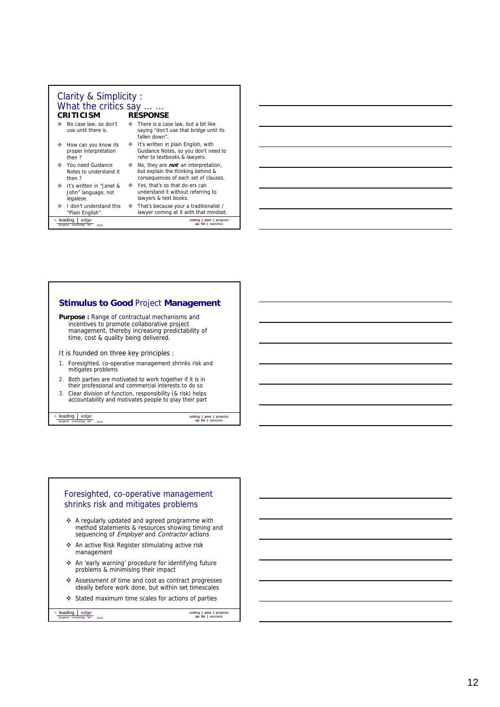| Clarity & Simplicity:<br>What the critics say<br><b>CRITICISM</b>     |    | <b>RESPONSE</b>                                                                                                         |
|-----------------------------------------------------------------------|----|-------------------------------------------------------------------------------------------------------------------------|
| No case law, so don't<br>÷<br>use until there is.                     | ÷. | There is a case law, but a bit like<br>saying "don't use that bridge until its<br>fallen down".                         |
| How can you know its<br>٠<br>proper interpretation<br>then?           | ÷. | It's written in plain English, with<br>Guidance Notes, so you don't need to<br>refer to textbooks & lawyers.            |
| You need Guidance<br>ator.<br>Notes to understand it<br>then?         | ÷. | No, they are <i>not</i> an interpretation,<br>but explain the thinking behind &<br>consequences of each set of clauses. |
| It's written in "Janet &<br>and a<br>John" language, not<br>legalese. |    | ❖ Yes, that's so that do-ers can<br>understand it without referring to<br>lawyers & text books.                         |
| I don't understand this<br>÷<br>"Plain English".                      | ÷. | That's because your a traditionalist /<br>lawyer coming at it with that mindset.                                        |
| edge<br>© leading<br>projects consulting ltd 2010                     |    | setting   your   projects<br>up for I success                                                                           |

### **Stimulus to Good** Project **Management Purpose :** Range of contractual mechanisms and incentives to promote collaborative project management, thereby increasing predictability of time, cost & quality being delivered. It is founded on three key principles : It is founded on three key principles 1. Foresighted, co-operative management shrinks risk and mitigates problems 2. Both parties are motivated to work together if it is in their professional and commercial interests to do so 3. Clear division of function, responsibility (& risk) helps accountability and motivates people to play their part

**leading edge** projects consulting to , 2010

*s* **up for | success** 

### Foresighted, co-operative management shrinks risk and mitigates problems

- A regularly updated and agreed programme with method statements & resources showing timing and sequencing of Employer and Contractor actions
- $\triangleq$  An active Risk Register stimulating active risk mana gemen t
- An 'early warning' procedure for identifying future problems & minimising their impact
- ❖ Assessment of time and cost as contract progresses ideally before work done, but within set timescales
- Stated maximum time scales for actions of parties

**leading edge** project consulting to  $\frac{1}{\text{projects}}$  consulting to  $\frac{1}{\text{ports}}$  , 2010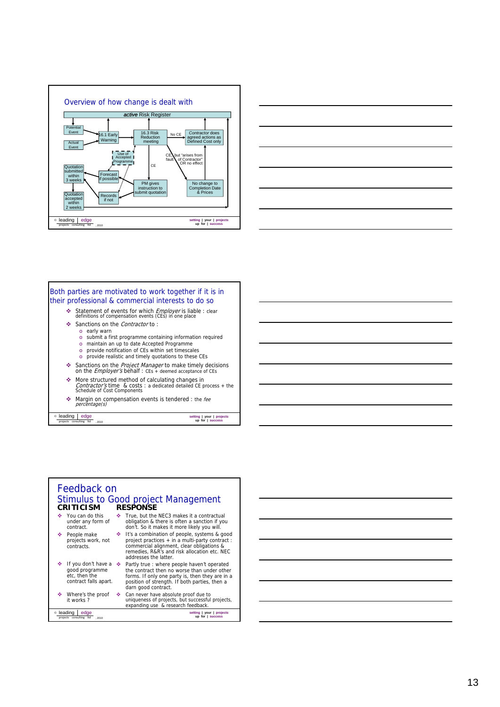





### Feedback on Stimulus to Good project Management ◆ You can do this under any form of contract. People make projects work, not contracts. True, but the NEC3 makes it a contractual obligation & there is often a sanction if you don't. So it makes it more likely you will. It's a combination of people, systems & good project practices + in a multi-party contract : commercial alignment, clear obligations &<br>remedies, R&R's and risk allocation etc. NEC **CRITICISM RESPONSE leading edge** project consulting to  $\frac{1}{\text{projects}}$  consulting to  $\frac{1}{\text{ports}}$  , 2010 *s* **up for | success**   $\div$  If you don't have a  $\div$ good programme etc, then the contract falls apart. ❖ Where's the proof it works ? addresses the latter. ◆ Partly true : where people haven't operated<br>the contract then no worse than under other<br>forms. If only one party is, then they are in a<br>position of strength. If both parties, then a darn good contract. Can never have absolute proof due to uniqueness of projects, but successful projects, expanding use & research feedback.